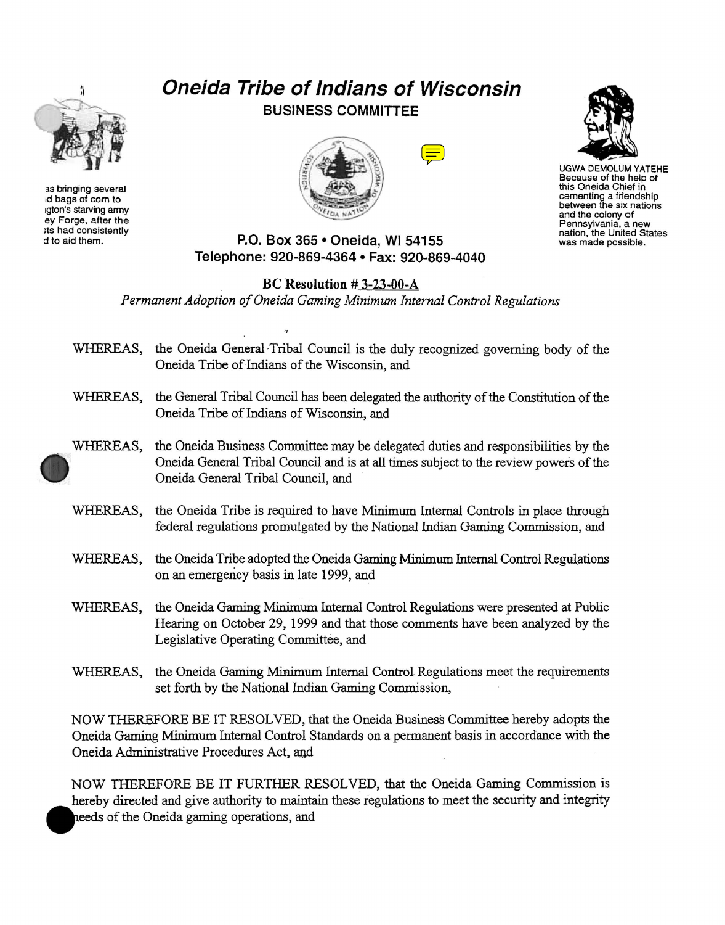

as bringing several :d bags of com to 1gton's starving army ey Forge, after the ;ts had consistently d to aid them.

## **Oneida Tribe of Indians of Wisconsin BUSINESS COMMITTEE**





UGWA DEMOLUM YATEHE Because of the help of this Oneida Chief in cementing a friendship between the six nations and the colony of Pennsylvania, a new nation, the United States was made possible.

## **P.O. Box 365 • Oneida, WI 54155 Telephone: 920-869-4364 • Fax: 920-869-4040**

## **BC Resolution** # 3-23-00-A

 $\overline{a}$ 

*Permanent Adoption of Oneida Gaming Minimum Internal Control Regulations* 

WHEREAS, the Oneida General-Tribal Council is the duly recognized governing body of the Oneida Tribe of Indians of the Wisconsin, and WHEREAS, the General Tribal Council has been delegated the authority of the Constitution of the Oneida Tribe of Indians of Wisconsin, and WHEREAS, the Oneida Business Committee may be delegated duties and responsibilities by the Oneida General Tribal Council and is at all times subject to the review powers of the Oneida General Tribal Council, and WHEREAS, the Oneida Tribe is required to have Minimum Internal Controls in place through federal regulations promulgated by the National Indian Gaming Commission, and WHEREAS, the Oneida Tribe adopted the Oneida Gaming Minimum Internal Control Regulations on an emergency basis inlate 1999, and WHEREAS, the Oneida Gaming Minimum Internal Control Regulations were presented at Public Hearing on October 29, 1999 and that those comments have been analyzed by the Legislative Operating Committee, and WHEREAS, the Oneida Gaming Minimum Internal Control Regulations meet the requirements set forth by the National Indian Gaming Commission,

NOW THEREFORE BE IT RESOLVED, that the Oneida Business Committee hereby adopts the Oneida Gaming Minimum Internal Control Standards on a permanent basis in accordance with the Oneida Administrative Procedures Act. aud

NOW THEREFORE BE IT FURTHER RESOLVED, that the Oneida Gaming Commission is hereby directed and give authority to maintain these regulations to meet the security and integrity heeds of the Oneida gaming operations, and